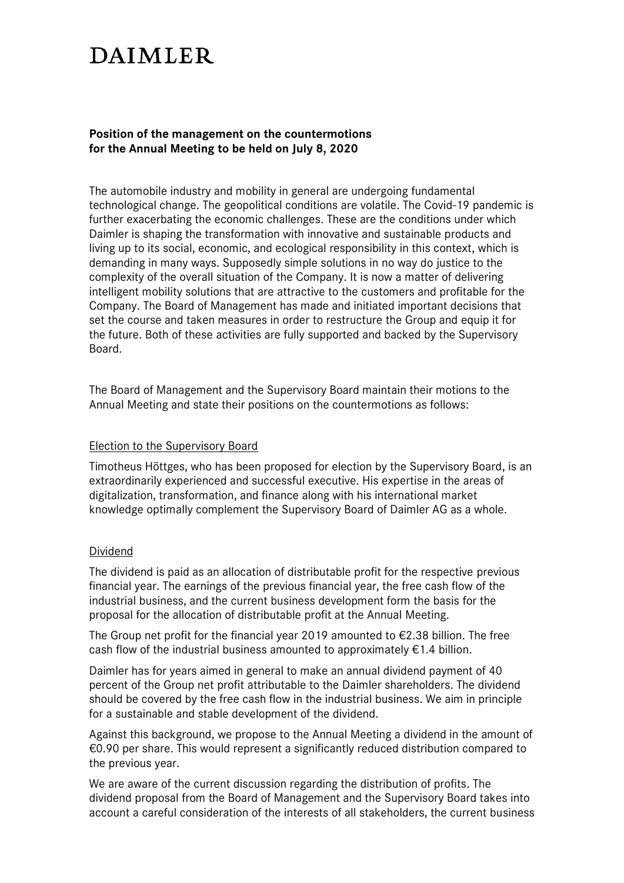# **DAIMLER**

# **Position of the management on the countermotions for the Annual Meeting to be held on July 8, 2020**

The automobile industry and mobility in general are undergoing fundamental technological change. The geopolitical conditions are volatile. The Covid-19 pandemic is further exacerbating the economic challenges. These are the conditions under which Daimler is shaping the transformation with innovative and sustainable products and living up to its social, economic, and ecological responsibility in this context, which is demanding in many ways. Supposedly simple solutions in no way do justice to the complexity of the overall situation of the Company. It is now a matter of delivering intelligent mobility solutions that are attractive to the customers and profitable for the Company. The Board of Management has made and initiated important decisions that set the course and taken measures in order to restructure the Group and equip it for the future. Both of these activities are fully supported and backed by the Supervisory Board.

The Board of Management and the Supervisory Board maintain their motions to the Annual Meeting and state their positions on the countermotions as follows:

## Election to the Supervisory Board

Timotheus Höttges, who has been proposed for election by the Supervisory Board, is an extraordinarily experienced and successful executive. His expertise in the areas of digitalization, transformation, and finance along with his international market knowledge optimally complement the Supervisory Board of Daimler AG as a whole.

## Dividend

The dividend is paid as an allocation of distributable profit for the respective previous financial year. The earnings of the previous financial year, the free cash flow of the industrial business, and the current business development form the basis for the proposal for the allocation of distributable profit at the Annual Meeting.

The Group net profit for the financial year 2019 amounted to  $\epsilon$ 2.38 billion. The free cash flow of the industrial business amounted to approximately  $\epsilon$ 1.4 billion.

Daimler has for years aimed in general to make an annual dividend payment of 40 percent of the Group net profit attributable to the Daimler shareholders. The dividend should be covered by the free cash flow in the industrial business. We aim in principle for a sustainable and stable development of the dividend.

Against this background, we propose to the Annual Meeting a dividend in the amount of €0.90 per share. This would represent a significantly reduced distribution compared to the previous year.

We are aware of the current discussion regarding the distribution of profits. The dividend proposal from the Board of Management and the Supervisory Board takes into account a careful consideration of the interests of all stakeholders, the current business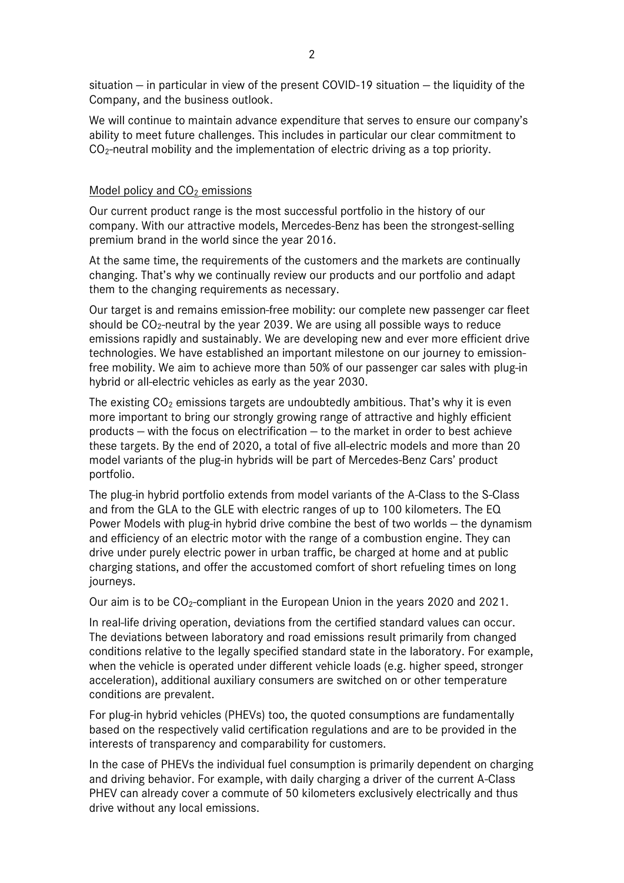situation — in particular in view of the present COVID-19 situation — the liquidity of the Company, and the business outlook.

We will continue to maintain advance expenditure that serves to ensure our company's ability to meet future challenges. This includes in particular our clear commitment to  $CO<sub>2</sub>$ -neutral mobility and the implementation of electric driving as a top priority.

#### Model policy and  $CO<sub>2</sub>$  emissions

Our current product range is the most successful portfolio in the history of our company. With our attractive models, Mercedes-Benz has been the strongest-selling premium brand in the world since the year 2016.

At the same time, the requirements of the customers and the markets are continually changing. That's why we continually review our products and our portfolio and adapt them to the changing requirements as necessary.

Our target is and remains emission-free mobility: our complete new passenger car fleet should be CO<sub>2</sub>-neutral by the year 2039. We are using all possible ways to reduce emissions rapidly and sustainably. We are developing new and ever more efficient drive technologies. We have established an important milestone on our journey to emissionfree mobility. We aim to achieve more than 50% of our passenger car sales with plug-in hybrid or all-electric vehicles as early as the year 2030.

The existing  $CO<sub>2</sub>$  emissions targets are undoubtedly ambitious. That's why it is even more important to bring our strongly growing range of attractive and highly efficient products — with the focus on electrification — to the market in order to best achieve these targets. By the end of 2020, a total of five all-electric models and more than 20 model variants of the plug-in hybrids will be part of Mercedes-Benz Cars' product portfolio.

The plug-in hybrid portfolio extends from model variants of the A-Class to the S-Class and from the GLA to the GLE with electric ranges of up to 100 kilometers. The EQ Power Models with plug-in hybrid drive combine the best of two worlds — the dynamism and efficiency of an electric motor with the range of a combustion engine. They can drive under purely electric power in urban traffic, be charged at home and at public charging stations, and offer the accustomed comfort of short refueling times on long journeys.

Our aim is to be CO2-compliant in the European Union in the years 2020 and 2021.

In real-life driving operation, deviations from the certified standard values can occur. The deviations between laboratory and road emissions result primarily from changed conditions relative to the legally specified standard state in the laboratory. For example, when the vehicle is operated under different vehicle loads (e.g. higher speed, stronger acceleration), additional auxiliary consumers are switched on or other temperature conditions are prevalent.

For plug-in hybrid vehicles (PHEVs) too, the quoted consumptions are fundamentally based on the respectively valid certification regulations and are to be provided in the interests of transparency and comparability for customers.

In the case of PHEVs the individual fuel consumption is primarily dependent on charging and driving behavior. For example, with daily charging a driver of the current A-Class PHEV can already cover a commute of 50 kilometers exclusively electrically and thus drive without any local emissions.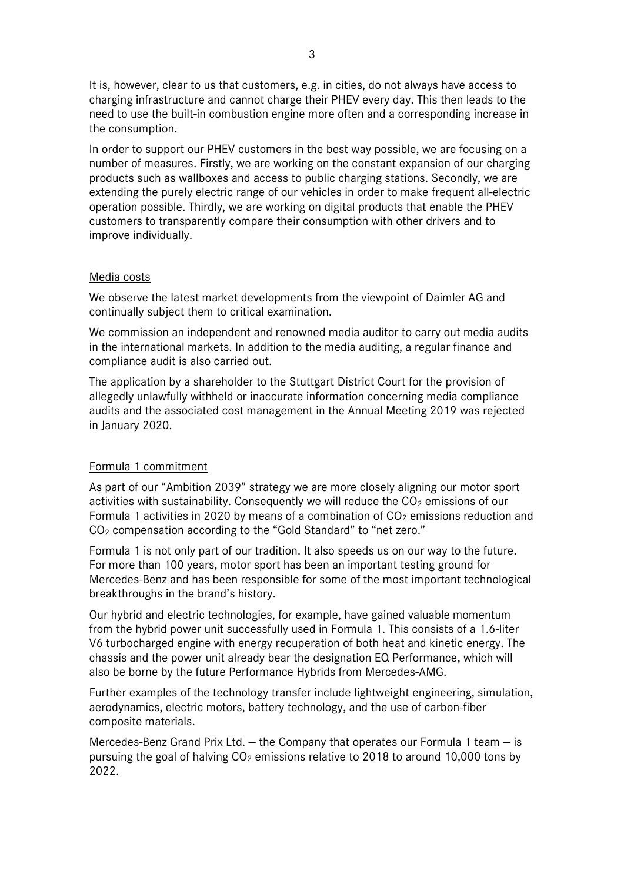It is, however, clear to us that customers, e.g. in cities, do not always have access to charging infrastructure and cannot charge their PHEV every day. This then leads to the need to use the built-in combustion engine more often and a corresponding increase in the consumption.

In order to support our PHEV customers in the best way possible, we are focusing on a number of measures. Firstly, we are working on the constant expansion of our charging products such as wallboxes and access to public charging stations. Secondly, we are extending the purely electric range of our vehicles in order to make frequent all-electric operation possible. Thirdly, we are working on digital products that enable the PHEV customers to transparently compare their consumption with other drivers and to improve individually.

## Media costs

We observe the latest market developments from the viewpoint of Daimler AG and continually subject them to critical examination.

We commission an independent and renowned media auditor to carry out media audits in the international markets. In addition to the media auditing, a regular finance and compliance audit is also carried out.

The application by a shareholder to the Stuttgart District Court for the provision of allegedly unlawfully withheld or inaccurate information concerning media compliance audits and the associated cost management in the Annual Meeting 2019 was rejected in January 2020.

## Formula 1 commitment

As part of our "Ambition 2039" strategy we are more closely aligning our motor sport activities with sustainability. Consequently we will reduce the  $CO<sub>2</sub>$  emissions of our Formula 1 activities in 2020 by means of a combination of  $CO<sub>2</sub>$  emissions reduction and CO<sup>2</sup> compensation according to the "Gold Standard" to "net zero."

Formula 1 is not only part of our tradition. It also speeds us on our way to the future. For more than 100 years, motor sport has been an important testing ground for Mercedes-Benz and has been responsible for some of the most important technological breakthroughs in the brand's history.

Our hybrid and electric technologies, for example, have gained valuable momentum from the hybrid power unit successfully used in Formula 1. This consists of a 1.6-liter V6 turbocharged engine with energy recuperation of both heat and kinetic energy. The chassis and the power unit already bear the designation EQ Performance, which will also be borne by the future Performance Hybrids from Mercedes-AMG.

Further examples of the technology transfer include lightweight engineering, simulation, aerodynamics, electric motors, battery technology, and the use of carbon-fiber composite materials.

Mercedes-Benz Grand Prix Ltd. — the Company that operates our Formula 1 team — is pursuing the goal of halving  $CO<sub>2</sub>$  emissions relative to 2018 to around 10,000 tons by 2022.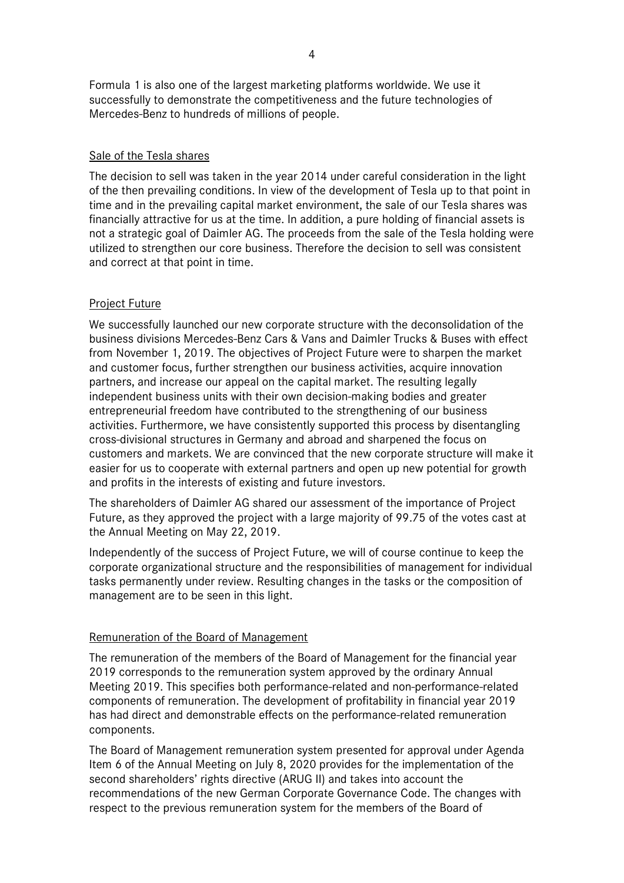Formula 1 is also one of the largest marketing platforms worldwide. We use it successfully to demonstrate the competitiveness and the future technologies of Mercedes-Benz to hundreds of millions of people.

## Sale of the Tesla shares

The decision to sell was taken in the year 2014 under careful consideration in the light of the then prevailing conditions. In view of the development of Tesla up to that point in time and in the prevailing capital market environment, the sale of our Tesla shares was financially attractive for us at the time. In addition, a pure holding of financial assets is not a strategic goal of Daimler AG. The proceeds from the sale of the Tesla holding were utilized to strengthen our core business. Therefore the decision to sell was consistent and correct at that point in time.

## Project Future

We successfully launched our new corporate structure with the deconsolidation of the business divisions Mercedes-Benz Cars & Vans and Daimler Trucks & Buses with effect from November 1, 2019. The objectives of Project Future were to sharpen the market and customer focus, further strengthen our business activities, acquire innovation partners, and increase our appeal on the capital market. The resulting legally independent business units with their own decision-making bodies and greater entrepreneurial freedom have contributed to the strengthening of our business activities. Furthermore, we have consistently supported this process by disentangling cross-divisional structures in Germany and abroad and sharpened the focus on customers and markets. We are convinced that the new corporate structure will make it easier for us to cooperate with external partners and open up new potential for growth and profits in the interests of existing and future investors.

The shareholders of Daimler AG shared our assessment of the importance of Project Future, as they approved the project with a large majority of 99.75 of the votes cast at the Annual Meeting on May 22, 2019.

Independently of the success of Project Future, we will of course continue to keep the corporate organizational structure and the responsibilities of management for individual tasks permanently under review. Resulting changes in the tasks or the composition of management are to be seen in this light.

## Remuneration of the Board of Management

The remuneration of the members of the Board of Management for the financial year 2019 corresponds to the remuneration system approved by the ordinary Annual Meeting 2019. This specifies both performance-related and non-performance-related components of remuneration. The development of profitability in financial year 2019 has had direct and demonstrable effects on the performance-related remuneration components.

The Board of Management remuneration system presented for approval under Agenda Item 6 of the Annual Meeting on July 8, 2020 provides for the implementation of the second shareholders' rights directive (ARUG II) and takes into account the recommendations of the new German Corporate Governance Code. The changes with respect to the previous remuneration system for the members of the Board of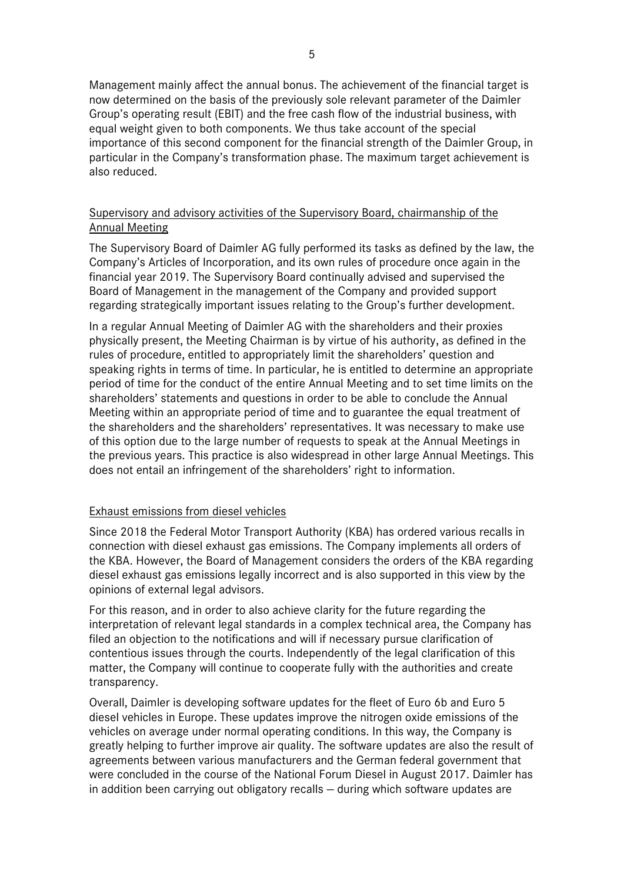Management mainly affect the annual bonus. The achievement of the financial target is now determined on the basis of the previously sole relevant parameter of the Daimler Group's operating result (EBIT) and the free cash flow of the industrial business, with equal weight given to both components. We thus take account of the special importance of this second component for the financial strength of the Daimler Group, in particular in the Company's transformation phase. The maximum target achievement is also reduced.

# Supervisory and advisory activities of the Supervisory Board, chairmanship of the Annual Meeting

The Supervisory Board of Daimler AG fully performed its tasks as defined by the law, the Company's Articles of Incorporation, and its own rules of procedure once again in the financial year 2019. The Supervisory Board continually advised and supervised the Board of Management in the management of the Company and provided support regarding strategically important issues relating to the Group's further development.

In a regular Annual Meeting of Daimler AG with the shareholders and their proxies physically present, the Meeting Chairman is by virtue of his authority, as defined in the rules of procedure, entitled to appropriately limit the shareholders' question and speaking rights in terms of time. In particular, he is entitled to determine an appropriate period of time for the conduct of the entire Annual Meeting and to set time limits on the shareholders' statements and questions in order to be able to conclude the Annual Meeting within an appropriate period of time and to guarantee the equal treatment of the shareholders and the shareholders' representatives. It was necessary to make use of this option due to the large number of requests to speak at the Annual Meetings in the previous years. This practice is also widespread in other large Annual Meetings. This does not entail an infringement of the shareholders' right to information.

## Exhaust emissions from diesel vehicles

Since 2018 the Federal Motor Transport Authority (KBA) has ordered various recalls in connection with diesel exhaust gas emissions. The Company implements all orders of the KBA. However, the Board of Management considers the orders of the KBA regarding diesel exhaust gas emissions legally incorrect and is also supported in this view by the opinions of external legal advisors.

For this reason, and in order to also achieve clarity for the future regarding the interpretation of relevant legal standards in a complex technical area, the Company has filed an objection to the notifications and will if necessary pursue clarification of contentious issues through the courts. Independently of the legal clarification of this matter, the Company will continue to cooperate fully with the authorities and create transparency.

Overall, Daimler is developing software updates for the fleet of Euro 6b and Euro 5 diesel vehicles in Europe. These updates improve the nitrogen oxide emissions of the vehicles on average under normal operating conditions. In this way, the Company is greatly helping to further improve air quality. The software updates are also the result of agreements between various manufacturers and the German federal government that were concluded in the course of the National Forum Diesel in August 2017. Daimler has in addition been carrying out obligatory recalls — during which software updates are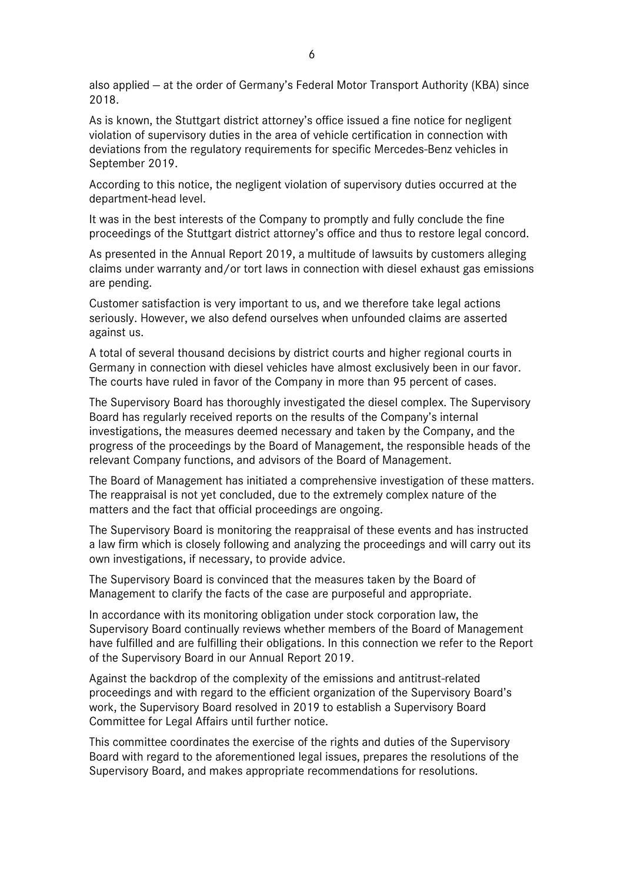also applied — at the order of Germany's Federal Motor Transport Authority (KBA) since 2018.

As is known, the Stuttgart district attorney's office issued a fine notice for negligent violation of supervisory duties in the area of vehicle certification in connection with deviations from the regulatory requirements for specific Mercedes-Benz vehicles in September 2019.

According to this notice, the negligent violation of supervisory duties occurred at the department-head level.

It was in the best interests of the Company to promptly and fully conclude the fine proceedings of the Stuttgart district attorney's office and thus to restore legal concord.

As presented in the Annual Report 2019, a multitude of lawsuits by customers alleging claims under warranty and/or tort laws in connection with diesel exhaust gas emissions are pending.

Customer satisfaction is very important to us, and we therefore take legal actions seriously. However, we also defend ourselves when unfounded claims are asserted against us.

A total of several thousand decisions by district courts and higher regional courts in Germany in connection with diesel vehicles have almost exclusively been in our favor. The courts have ruled in favor of the Company in more than 95 percent of cases.

The Supervisory Board has thoroughly investigated the diesel complex. The Supervisory Board has regularly received reports on the results of the Company's internal investigations, the measures deemed necessary and taken by the Company, and the progress of the proceedings by the Board of Management, the responsible heads of the relevant Company functions, and advisors of the Board of Management.

The Board of Management has initiated a comprehensive investigation of these matters. The reappraisal is not yet concluded, due to the extremely complex nature of the matters and the fact that official proceedings are ongoing.

The Supervisory Board is monitoring the reappraisal of these events and has instructed a law firm which is closely following and analyzing the proceedings and will carry out its own investigations, if necessary, to provide advice.

The Supervisory Board is convinced that the measures taken by the Board of Management to clarify the facts of the case are purposeful and appropriate.

In accordance with its monitoring obligation under stock corporation law, the Supervisory Board continually reviews whether members of the Board of Management have fulfilled and are fulfilling their obligations. In this connection we refer to the Report of the Supervisory Board in our Annual Report 2019.

Against the backdrop of the complexity of the emissions and antitrust-related proceedings and with regard to the efficient organization of the Supervisory Board's work, the Supervisory Board resolved in 2019 to establish a Supervisory Board Committee for Legal Affairs until further notice.

This committee coordinates the exercise of the rights and duties of the Supervisory Board with regard to the aforementioned legal issues, prepares the resolutions of the Supervisory Board, and makes appropriate recommendations for resolutions.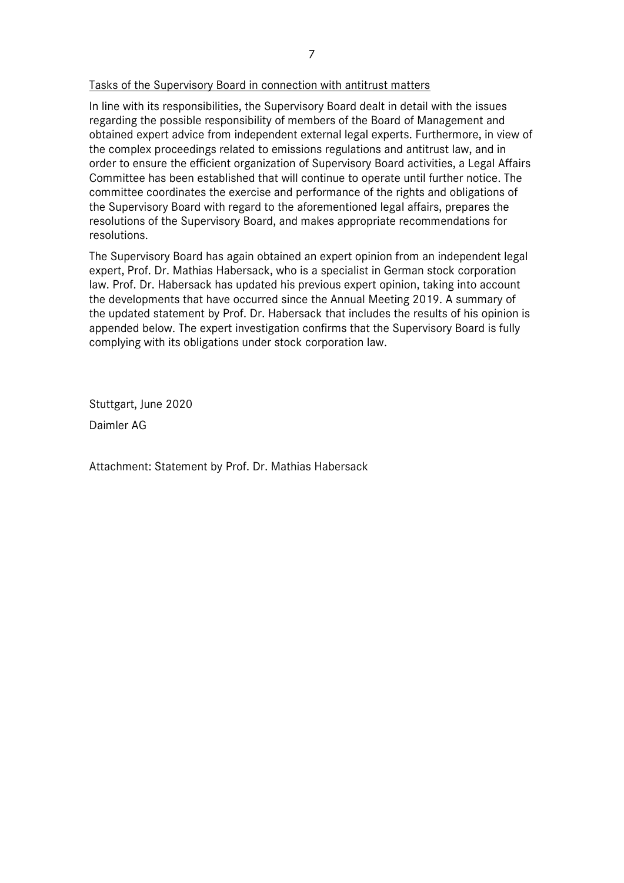## Tasks of the Supervisory Board in connection with antitrust matters

In line with its responsibilities, the Supervisory Board dealt in detail with the issues regarding the possible responsibility of members of the Board of Management and obtained expert advice from independent external legal experts. Furthermore, in view of the complex proceedings related to emissions regulations and antitrust law, and in order to ensure the efficient organization of Supervisory Board activities, a Legal Affairs Committee has been established that will continue to operate until further notice. The committee coordinates the exercise and performance of the rights and obligations of the Supervisory Board with regard to the aforementioned legal affairs, prepares the resolutions of the Supervisory Board, and makes appropriate recommendations for resolutions.

The Supervisory Board has again obtained an expert opinion from an independent legal expert, Prof. Dr. Mathias Habersack, who is a specialist in German stock corporation law. Prof. Dr. Habersack has updated his previous expert opinion, taking into account the developments that have occurred since the Annual Meeting 2019. A summary of the updated statement by Prof. Dr. Habersack that includes the results of his opinion is appended below. The expert investigation confirms that the Supervisory Board is fully complying with its obligations under stock corporation law.

Stuttgart, June 2020

Daimler AG

Attachment: Statement by Prof. Dr. Mathias Habersack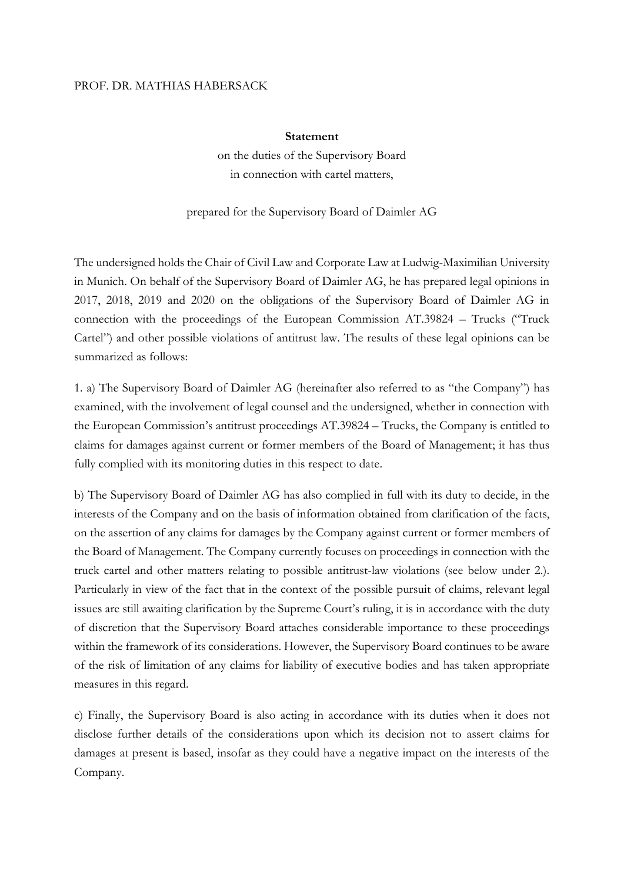#### PROF. DR. MATHIAS HABERSACK

#### **Statement**

on the duties of the Supervisory Board in connection with cartel matters,

prepared for the Supervisory Board of Daimler AG

The undersigned holds the Chair of Civil Law and Corporate Law at Ludwig-Maximilian University in Munich. On behalf of the Supervisory Board of Daimler AG, he has prepared legal opinions in 2017, 2018, 2019 and 2020 on the obligations of the Supervisory Board of Daimler AG in connection with the proceedings of the European Commission AT.39824 – Trucks ("Truck Cartel") and other possible violations of antitrust law. The results of these legal opinions can be summarized as follows:

1. a) The Supervisory Board of Daimler AG (hereinafter also referred to as "the Company") has examined, with the involvement of legal counsel and the undersigned, whether in connection with the European Commission's antitrust proceedings AT.39824 – Trucks, the Company is entitled to claims for damages against current or former members of the Board of Management; it has thus fully complied with its monitoring duties in this respect to date.

b) The Supervisory Board of Daimler AG has also complied in full with its duty to decide, in the interests of the Company and on the basis of information obtained from clarification of the facts, on the assertion of any claims for damages by the Company against current or former members of the Board of Management. The Company currently focuses on proceedings in connection with the truck cartel and other matters relating to possible antitrust-law violations (see below under 2.). Particularly in view of the fact that in the context of the possible pursuit of claims, relevant legal issues are still awaiting clarification by the Supreme Court's ruling, it is in accordance with the duty of discretion that the Supervisory Board attaches considerable importance to these proceedings within the framework of its considerations. However, the Supervisory Board continues to be aware of the risk of limitation of any claims for liability of executive bodies and has taken appropriate measures in this regard.

c) Finally, the Supervisory Board is also acting in accordance with its duties when it does not disclose further details of the considerations upon which its decision not to assert claims for damages at present is based, insofar as they could have a negative impact on the interests of the Company.